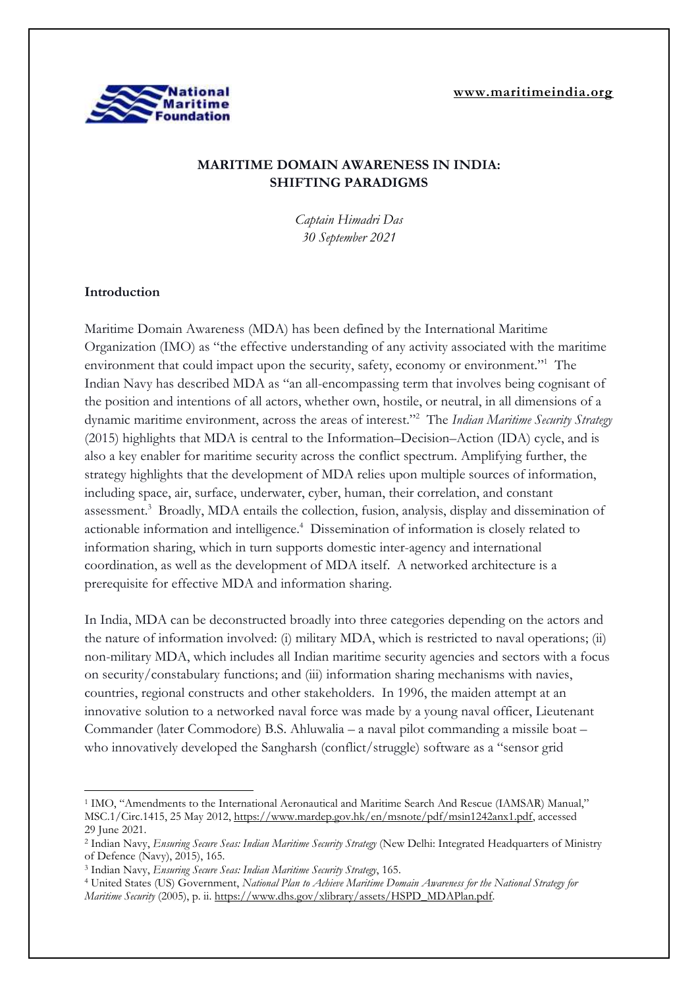**[www.maritimeindia.org](http://www.maritimeindia.org/)**



# **MARITIME DOMAIN AWARENESS IN INDIA: SHIFTING PARADIGMS**

*Captain Himadri Das 30 September 2021*

## **Introduction**

Maritime Domain Awareness (MDA) has been defined by the International Maritime Organization (IMO) as "the effective understanding of any activity associated with the maritime environment that could impact upon the security, safety, economy or environment."<sup>1</sup> The Indian Navy has described MDA as "an all-encompassing term that involves being cognisant of the position and intentions of all actors, whether own, hostile, or neutral, in all dimensions of a dynamic maritime environment, across the areas of interest." <sup>2</sup> The *Indian Maritime Security Strategy* (2015) highlights that MDA is central to the Information–Decision–Action (IDA) cycle, and is also a key enabler for maritime security across the conflict spectrum. Amplifying further, the strategy highlights that the development of MDA relies upon multiple sources of information, including space, air, surface, underwater, cyber, human, their correlation, and constant assessment.<sup>3</sup> Broadly, MDA entails the collection, fusion, analysis, display and dissemination of actionable information and intelligence.<sup>4</sup> Dissemination of information is closely related to information sharing, which in turn supports domestic inter-agency and international coordination, as well as the development of MDA itself. A networked architecture is a prerequisite for effective MDA and information sharing.

In India, MDA can be deconstructed broadly into three categories depending on the actors and the nature of information involved: (i) military MDA, which is restricted to naval operations; (ii) non-military MDA, which includes all Indian maritime security agencies and sectors with a focus on security/constabulary functions; and (iii) information sharing mechanisms with navies, countries, regional constructs and other stakeholders. In 1996, the maiden attempt at an innovative solution to a networked naval force was made by a young naval officer, Lieutenant Commander (later Commodore) B.S. Ahluwalia – a naval pilot commanding a missile boat – who innovatively developed the Sangharsh (conflict/struggle) software as a "sensor grid

<sup>1</sup> IMO, "Amendments to the International Aeronautical and Maritime Search And Rescue (IAMSAR) Manual," MSC.1/Circ.1415, 25 May 2012, [https://www.mardep.gov.hk/en/msnote/pdf/msin1242anx1.pdf,](https://www.mardep.gov.hk/en/msnote/pdf/msin1242anx1.pdf) accessed 29 June 2021.

<sup>2</sup> Indian Navy, *Ensuring Secure Seas: Indian Maritime Security Strategy* (New Delhi: Integrated Headquarters of Ministry of Defence (Navy), 2015), 165.

<sup>3</sup> Indian Navy, *Ensuring Secure Seas: Indian Maritime Security Strategy*, 165.

<sup>4</sup> United States (US) Government, *National Plan to Achieve Maritime Domain Awareness for the National Strategy for Maritime Security* (2005), p. ii. [https://www.dhs.gov/xlibrary/assets/HSPD\\_MDAPlan.pdf.](https://www.dhs.gov/xlibrary/assets/HSPD_MDAPlan.pdf)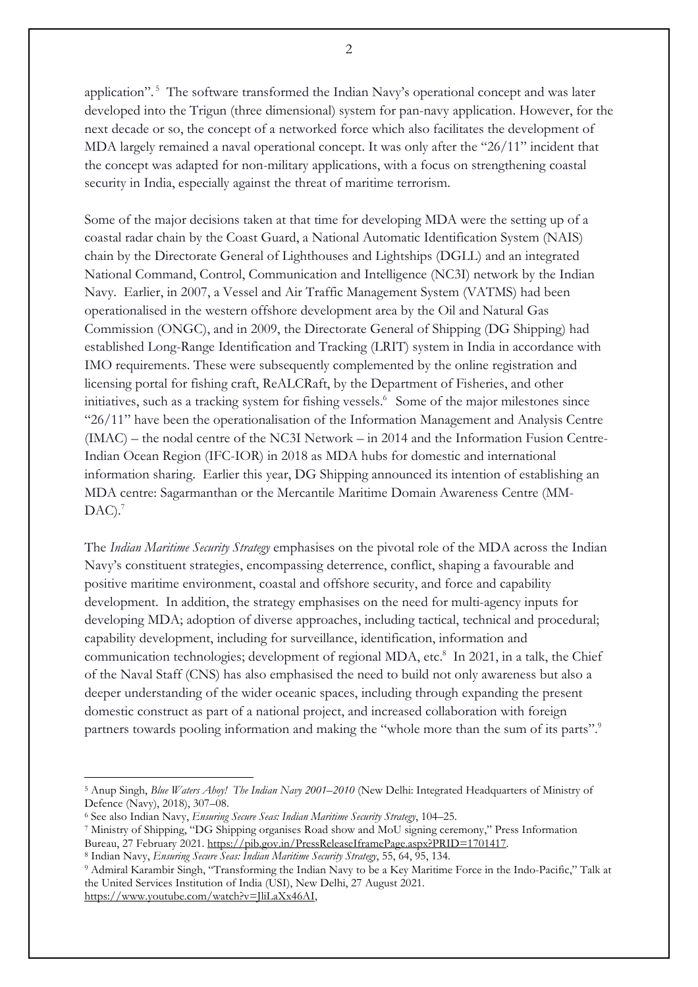application".<sup>5</sup> The software transformed the Indian Navy's operational concept and was later developed into the Trigun (three dimensional) system for pan-navy application. However, for the next decade or so, the concept of a networked force which also facilitates the development of MDA largely remained a naval operational concept. It was only after the "26/11" incident that the concept was adapted for non-military applications, with a focus on strengthening coastal security in India, especially against the threat of maritime terrorism.

Some of the major decisions taken at that time for developing MDA were the setting up of a coastal radar chain by the Coast Guard, a National Automatic Identification System (NAIS) chain by the Directorate General of Lighthouses and Lightships (DGLL) and an integrated National Command, Control, Communication and Intelligence (NC3I) network by the Indian Navy. Earlier, in 2007, a Vessel and Air Traffic Management System (VATMS) had been operationalised in the western offshore development area by the Oil and Natural Gas Commission (ONGC), and in 2009, the Directorate General of Shipping (DG Shipping) had established Long-Range Identification and Tracking (LRIT) system in India in accordance with IMO requirements. These were subsequently complemented by the online registration and licensing portal for fishing craft, ReALCRaft, by the Department of Fisheries, and other initiatives, such as a tracking system for fishing vessels.<sup>6</sup> Some of the major milestones since "26/11" have been the operationalisation of the Information Management and Analysis Centre (IMAC) – the nodal centre of the NC3I Network – in 2014 and the Information Fusion Centre-Indian Ocean Region (IFC-IOR) in 2018 as MDA hubs for domestic and international information sharing. Earlier this year, DG Shipping announced its intention of establishing an MDA centre: Sagarmanthan or the Mercantile Maritime Domain Awareness Centre (MM-DAC). 7

The *Indian Maritime Security Strategy* emphasises on the pivotal role of the MDA across the Indian Navy's constituent strategies, encompassing deterrence, conflict, shaping a favourable and positive maritime environment, coastal and offshore security, and force and capability development. In addition, the strategy emphasises on the need for multi-agency inputs for developing MDA; adoption of diverse approaches, including tactical, technical and procedural; capability development, including for surveillance, identification, information and communication technologies; development of regional MDA, etc. 8 In 2021, in a talk, the Chief of the Naval Staff (CNS) has also emphasised the need to build not only awareness but also a deeper understanding of the wider oceanic spaces, including through expanding the present domestic construct as part of a national project, and increased collaboration with foreign partners towards pooling information and making the "whole more than the sum of its parts".<sup>9</sup>

<sup>5</sup> Anup Singh, *Blue Waters Ahoy! The Indian Navy 2001–2010* (New Delhi: Integrated Headquarters of Ministry of Defence (Navy), 2018), 307–08.

<sup>6</sup> See also Indian Navy, *Ensuring Secure Seas: Indian Maritime Security Strategy*, 104–25.

<sup>7</sup> Ministry of Shipping, "DG Shipping organises Road show and MoU signing ceremony," Press Information Bureau, 27 February 2021. [https://pib.gov.in/PressReleaseIframePage.aspx?PRID=1701417.](https://pib.gov.in/PressReleaseIframePage.aspx?PRID=1701417)

<sup>8</sup> Indian Navy, *Ensuring Secure Seas: Indian Maritime Security Strategy*, 55, 64, 95, 134.

<sup>9</sup> Admiral Karambir Singh, "Transforming the Indian Navy to be a Key Maritime Force in the Indo-Pacific," Talk at the United Services Institution of India (USI), New Delhi, 27 August 2021. [https://www.youtube.com/watch?v=JliLaXx46AI,](https://www.youtube.com/watch?v=JliLaXx46AI)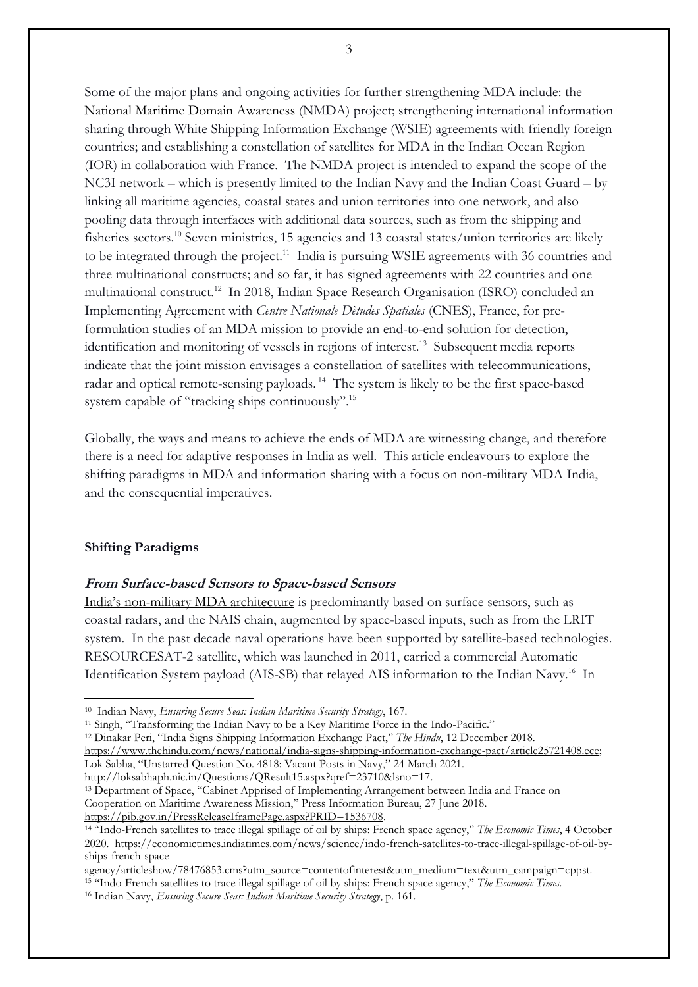Some of the major plans and ongoing activities for further strengthening MDA include: the National Maritime Domain [Awareness](https://maritimeindia.org/26-11-a-paradigm-shift-in-maritime-security/) (NMDA) project; strengthening international information sharing through White Shipping Information Exchange (WSIE) agreements with friendly foreign countries; and establishing a constellation of satellites for MDA in the Indian Ocean Region (IOR) in collaboration with France. The NMDA project is intended to expand the scope of the NC3I network – which is presently limited to the Indian Navy and the Indian Coast Guard – by linking all maritime agencies, coastal states and union territories into one network, and also pooling data through interfaces with additional data sources, such as from the shipping and fisheries sectors. <sup>10</sup> Seven ministries, 15 agencies and 13 coastal states/union territories are likely to be integrated through the project.<sup>11</sup> India is pursuing WSIE agreements with 36 countries and three multinational constructs; and so far, it has signed agreements with 22 countries and one multinational construct.<sup>12</sup> In 2018, Indian Space Research Organisation (ISRO) concluded an Implementing Agreement with *Centre Nationale Dètudes Spatiales* (CNES), France, for preformulation studies of an MDA mission to provide an end-to-end solution for detection, identification and monitoring of vessels in regions of interest.<sup>13</sup> Subsequent media reports indicate that the joint mission envisages a constellation of satellites with telecommunications, radar and optical remote-sensing payloads. <sup>14</sup> The system is likely to be the first space-based system capable of "tracking ships continuously".<sup>15</sup>

Globally, the ways and means to achieve the ends of MDA are witnessing change, and therefore there is a need for adaptive responses in India as well. This article endeavours to explore the shifting paradigms in MDA and information sharing with a focus on non-military MDA India, and the consequential imperatives.

#### **Shifting Paradigms**

### **From Surface-based Sensors to Space-based Sensors**

India's [non-military](https://maritimeindia.org/enhancing-maritime-domain-awareness-in-the-indo-pacific-and-the-eastern-mediterrenean-regions-indian-and-israeli-perspective/?utm_source=rss&utm_medium=rss&utm_campaign=enhancing-maritime-domain-awareness-in-the-indo-pacific-and-the-eastern-mediterrenean-regions-indian-and-israeli-perspective) MDA architecture is predominantly based on surface sensors, such as coastal radars, and the NAIS chain, augmented by space-based inputs, such as from the LRIT system. In the past decade naval operations have been supported by satellite-based technologies. RESOURCESAT-2 satellite, which was launched in 2011, carried a commercial Automatic Identification System payload (AIS-SB) that relayed AIS information to the Indian Navy.<sup>16</sup> In

<sup>11</sup> Singh, "Transforming the Indian Navy to be a Key Maritime Force in the Indo-Pacific."

<sup>12</sup> Dinakar Peri, "India Signs Shipping Information Exchange Pact," *The Hindu*, 12 December 2018. [https://www.thehindu.com/news/national/india-signs-shipping-information-exchange-pact/article25721408.ece;](https://www.thehindu.com/news/national/india-signs-shipping-information-exchange-pact/article25721408.ece) Lok Sabha, "Unstarred Question No. 4818: Vacant Posts in Navy," 24 March 2021. [http://loksabhaph.nic.in/Questions/QResult15.aspx?qref=23710&lsno=17.](http://loksabhaph.nic.in/Questions/QResult15.aspx?qref=23710&lsno=17)

<sup>10</sup> Indian Navy, *Ensuring Secure Seas: Indian Maritime Security Strategy*, 167.

<sup>&</sup>lt;sup>13</sup> Department of Space, "Cabinet Apprised of Implementing Arrangement between India and France on Cooperation on Maritime Awareness Mission," Press Information Bureau, 27 June 2018. [https://pib.gov.in/PressReleaseIframePage.aspx?PRID=1536708.](https://pib.gov.in/PressReleaseIframePage.aspx?PRID=1536708)

<sup>14</sup> "Indo-French satellites to trace illegal spillage of oil by ships: French space agency," *The Economic Times*, 4 October 2020. [https://economictimes.indiatimes.com/news/science/indo-french-satellites-to-trace-illegal-spillage-of-oil-by](https://economictimes.indiatimes.com/news/science/indo-french-satellites-to-trace-illegal-spillage-of-oil-by-ships-french-space-agency/articleshow/78476853.cms?utm_source=contentofinterest&utm_medium=text&utm_campaign=cppst)[ships-french-space-](https://economictimes.indiatimes.com/news/science/indo-french-satellites-to-trace-illegal-spillage-of-oil-by-ships-french-space-agency/articleshow/78476853.cms?utm_source=contentofinterest&utm_medium=text&utm_campaign=cppst)

[agency/articleshow/78476853.cms?utm\\_source=contentofinterest&utm\\_medium=text&utm\\_campaign=cppst.](https://economictimes.indiatimes.com/news/science/indo-french-satellites-to-trace-illegal-spillage-of-oil-by-ships-french-space-agency/articleshow/78476853.cms?utm_source=contentofinterest&utm_medium=text&utm_campaign=cppst)

<sup>15</sup> "Indo-French satellites to trace illegal spillage of oil by ships: French space agency," *The Economic Times.*

<sup>16</sup> Indian Navy, *Ensuring Secure Seas: Indian Maritime Security Strategy*, p. 161.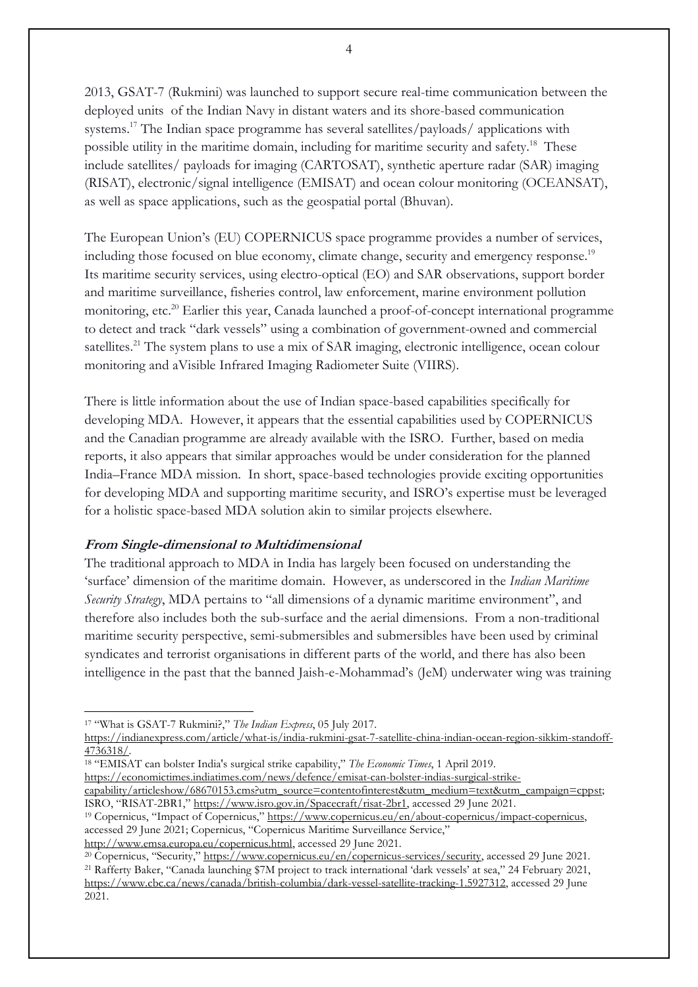2013, GSAT-7 (Rukmini) was launched to support secure real-time communication between the deployed units of the Indian Navy in distant waters and its shore-based communication systems. <sup>17</sup> The Indian space programme has several satellites/payloads/ applications with possible utility in the maritime domain, including for maritime security and safety.<sup>18</sup> These include satellites/ payloads for imaging (CARTOSAT), synthetic aperture radar (SAR) imaging (RISAT), electronic/signal intelligence (EMISAT) and ocean colour monitoring (OCEANSAT), as well as space applications, such as the geospatial portal (Bhuvan).

The European Union's (EU) COPERNICUS space programme provides a number of services, including those focused on blue economy, climate change, security and emergency response.<sup>19</sup> Its maritime security services, using electro-optical (EO) and SAR observations, support border and maritime surveillance, fisheries control, law enforcement, marine environment pollution monitoring, etc. <sup>20</sup> Earlier this year, Canada launched a proof-of-concept international programme to detect and track "dark vessels" using a combination of government-owned and commercial satellites.<sup>21</sup> The system plans to use a mix of SAR imaging, electronic intelligence, ocean colour monitoring and aVisible Infrared Imaging Radiometer Suite (VIIRS).

There is little information about the use of Indian space-based capabilities specifically for developing MDA. However, it appears that the essential capabilities used by COPERNICUS and the Canadian programme are already available with the ISRO. Further, based on media reports, it also appears that similar approaches would be under consideration for the planned India–France MDA mission. In short, space-based technologies provide exciting opportunities for developing MDA and supporting maritime security, and ISRO's expertise must be leveraged for a holistic space-based MDA solution akin to similar projects elsewhere.

#### **From Single-dimensional to Multidimensional**

The traditional approach to MDA in India has largely been focused on understanding the 'surface' dimension of the maritime domain. However, as underscored in the *Indian Maritime Security Strategy*, MDA pertains to "all dimensions of a dynamic maritime environment", and therefore also includes both the sub-surface and the aerial dimensions. From a non-traditional maritime security perspective, semi-submersibles and submersibles have been used by criminal syndicates and terrorist organisations in different parts of the world, and there has also been intelligence in the past that the banned Jaish-e-Mohammad's (JeM) underwater wing was training

<sup>18</sup> "EMISAT can bolster India's surgical strike capability," *The Economic Times*, 1 April 2019. [https://economictimes.indiatimes.com/news/defence/emisat-can-bolster-indias-surgical-strike-](https://economictimes.indiatimes.com/news/defence/emisat-can-bolster-indias-surgical-strike-capability/articleshow/68670153.cms?utm_source=contentofinterest&utm_medium=text&utm_campaign=cppst)

[capability/articleshow/68670153.cms?utm\\_source=contentofinterest&utm\\_medium=text&utm\\_campaign=cppst;](https://economictimes.indiatimes.com/news/defence/emisat-can-bolster-indias-surgical-strike-capability/articleshow/68670153.cms?utm_source=contentofinterest&utm_medium=text&utm_campaign=cppst) ISRO, "RISAT-2BR1," https://www.isro.gov.in/Spacecraft/risat-2br1, accessed 29 June 2021.

<sup>19</sup> Copernicus, "Impact of Copernicus," [https://www.copernicus.eu/en/about-copernicus/impact-copernicus,](https://www.copernicus.eu/en/about-copernicus/impact-copernicus) accessed 29 June 2021; Copernicus, "Copernicus Maritime Surveillance Service," [http://www.emsa.europa.eu/copernicus.html,](http://www.emsa.europa.eu/copernicus.html) accessed 29 June 2021.

<sup>20</sup> Copernicus, "Security," [https://www.copernicus.eu/en/copernicus-services/security,](https://www.copernicus.eu/en/copernicus-services/security) accessed 29 June 2021. <sup>21</sup> Rafferty Baker, "Canada launching \$7M project to track international 'dark vessels' at sea," 24 February 2021, [https://www.cbc.ca/news/canada/british-columbia/dark-vessel-satellite-tracking-1.5927312,](https://www.cbc.ca/news/canada/british-columbia/dark-vessel-satellite-tracking-1.5927312) accessed 29 June 2021.

<sup>17</sup> "What is GSAT-7 Rukmini?," *The Indian Express*, 05 July 2017.

[https://indianexpress.com/article/what-is/india-rukmini-gsat-7-satellite-china-indian-ocean-region-sikkim-standoff-](https://indianexpress.com/article/what-is/india-rukmini-gsat-7-satellite-china-indian-ocean-region-sikkim-standoff-4736318/)[4736318/.](https://indianexpress.com/article/what-is/india-rukmini-gsat-7-satellite-china-indian-ocean-region-sikkim-standoff-4736318/)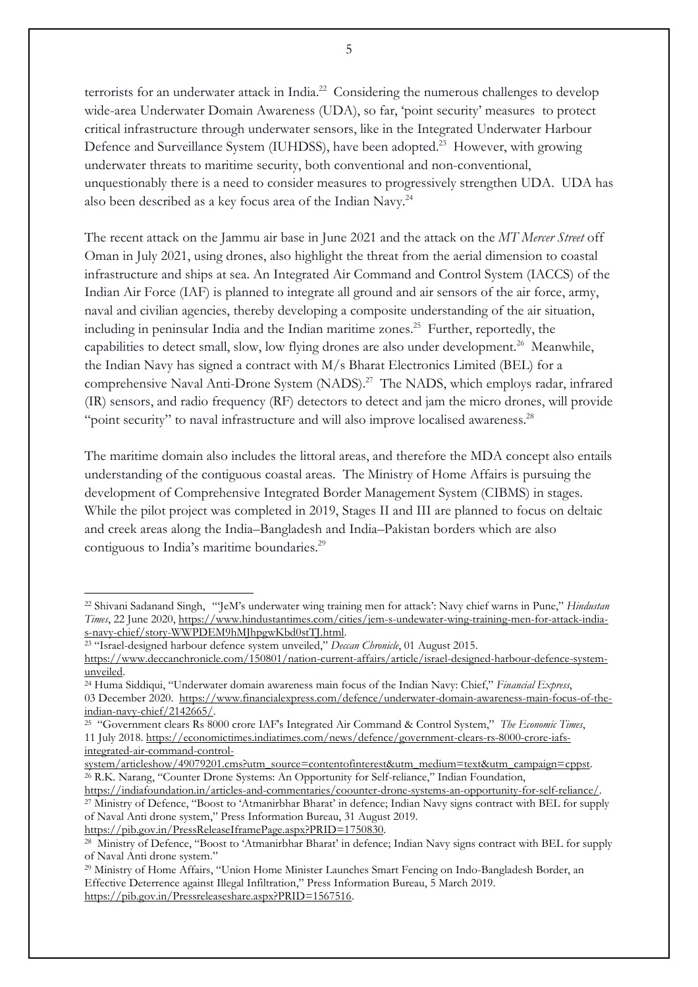terrorists for an underwater attack in India.<sup>22</sup> Considering the numerous challenges to develop wide-area Underwater Domain Awareness (UDA), so far, 'point security' measures to protect critical infrastructure through underwater sensors, like in the Integrated Underwater Harbour Defence and Surveillance System (IUHDSS), have been adopted.<sup>23</sup> However, with growing underwater threats to maritime security, both conventional and non-conventional, unquestionably there is a need to consider measures to progressively strengthen UDA. UDA has also been described as a key focus area of the Indian Navy.<sup>24</sup>

The recent attack on the Jammu air base in June 2021 and the attack on the *MT Mercer Street* off Oman in July 2021, using drones, also highlight the threat from the aerial dimension to coastal infrastructure and ships at sea. An Integrated Air Command and Control System (IACCS) of the Indian Air Force (IAF) is planned to integrate all ground and air sensors of the air force, army, naval and civilian agencies, thereby developing a composite understanding of the air situation, including in peninsular India and the Indian maritime zones. <sup>25</sup> Further, reportedly, the capabilities to detect small, slow, low flying drones are also under development. <sup>26</sup> Meanwhile, the Indian Navy has signed a contract with M/s Bharat Electronics Limited (BEL) for a comprehensive Naval Anti-Drone System (NADS).<sup>27</sup> The NADS, which employs radar, infrared (IR) sensors, and radio frequency (RF) detectors to detect and jam the micro drones, will provide "point security" to naval infrastructure and will also improve localised awareness.<sup>28</sup>

The maritime domain also includes the littoral areas, and therefore the MDA concept also entails understanding of the contiguous coastal areas. The Ministry of Home Affairs is pursuing the development of Comprehensive Integrated Border Management System (CIBMS) in stages. While the pilot project was completed in 2019, Stages II and III are planned to focus on deltaic and creek areas along the India–Bangladesh and India–Pakistan borders which are also contiguous to India's maritime boundaries. 29

<sup>22</sup> Shivani Sadanand Singh, "'JeM's underwater wing training men for attack': Navy chief warns in Pune," *Hindustan Times*, 22 June 2020, [https://www.hindustantimes.com/cities/jem-s-undewater-wing-training-men-for-attack-india](https://www.hindustantimes.com/cities/jem-s-undewater-wing-training-men-for-attack-india-s-navy-chief/story-WWPDEM9hMJhpgwKbd0stTJ.html)[s-navy-chief/story-WWPDEM9hMJhpgwKbd0stTJ.html.](https://www.hindustantimes.com/cities/jem-s-undewater-wing-training-men-for-attack-india-s-navy-chief/story-WWPDEM9hMJhpgwKbd0stTJ.html)

<sup>23</sup> "Israel-designed harbour defence system unveiled," *Deccan Chronicle*, 01 August 2015.

[https://www.deccanchronicle.com/150801/nation-current-affairs/article/israel-designed-harbour-defence-system](https://www.deccanchronicle.com/150801/nation-current-affairs/article/israel-designed-harbour-defence-system-unveiled)[unveiled.](https://www.deccanchronicle.com/150801/nation-current-affairs/article/israel-designed-harbour-defence-system-unveiled)

<sup>24</sup> Huma Siddiqui, "Underwater domain awareness main focus of the Indian Navy: Chief," *Financial Express*, 03 December 2020. [https://www.financialexpress.com/defence/underwater-domain-awareness-main-focus-of-the](https://www.financialexpress.com/defence/underwater-domain-awareness-main-focus-of-the-indian-navy-chief/2142665/)[indian-navy-chief/2142665/.](https://www.financialexpress.com/defence/underwater-domain-awareness-main-focus-of-the-indian-navy-chief/2142665/)

<sup>25</sup> "Government clears Rs 8000 crore IAF's Integrated Air Command & Control System," *The Economic Times*, 11 July 2018. [https://economictimes.indiatimes.com/news/defence/government-clears-rs-8000-crore-iafs](https://economictimes.indiatimes.com/news/defence/government-clears-rs-8000-crore-iafs-integrated-air-command-control-system/articleshow/49079201.cms?utm_source=contentofinterest&utm_medium=text&utm_campaign=cppst)[integrated-air-command-control-](https://economictimes.indiatimes.com/news/defence/government-clears-rs-8000-crore-iafs-integrated-air-command-control-system/articleshow/49079201.cms?utm_source=contentofinterest&utm_medium=text&utm_campaign=cppst)

[system/articleshow/49079201.cms?utm\\_source=contentofinterest&utm\\_medium=text&utm\\_campaign=cppst.](https://economictimes.indiatimes.com/news/defence/government-clears-rs-8000-crore-iafs-integrated-air-command-control-system/articleshow/49079201.cms?utm_source=contentofinterest&utm_medium=text&utm_campaign=cppst) <sup>26</sup> R.K. Narang, "Counter Drone Systems: An Opportunity for Self-reliance," Indian Foundation,

[https://indiafoundation.in/articles-and-commentaries/coounter-drone-systems-an-opportunity-for-self-reliance/.](https://indiafoundation.in/articles-and-commentaries/coounter-drone-systems-an-opportunity-for-self-reliance/) <sup>27</sup> Ministry of Defence, "Boost to 'Atmanirbhar Bharat' in defence; Indian Navy signs contract with BEL for supply of Naval Anti drone system," Press Information Bureau, 31 August 2019.

https://pib.gov.in/PressReleaseIframePage.aspx?PRID=1750830.

<sup>&</sup>lt;sup>28</sup> Ministry of Defence, "Boost to 'Atmanirbhar Bharat' in defence; Indian Navy signs contract with BEL for supply of Naval Anti drone system."

<sup>29</sup> Ministry of Home Affairs, "Union Home Minister Launches Smart Fencing on Indo-Bangladesh Border, an Effective Deterrence against Illegal Infiltration," Press Information Bureau, 5 March 2019. [https://pib.gov.in/Pressreleaseshare.aspx?PRID=1567516.](https://pib.gov.in/Pressreleaseshare.aspx?PRID=1567516)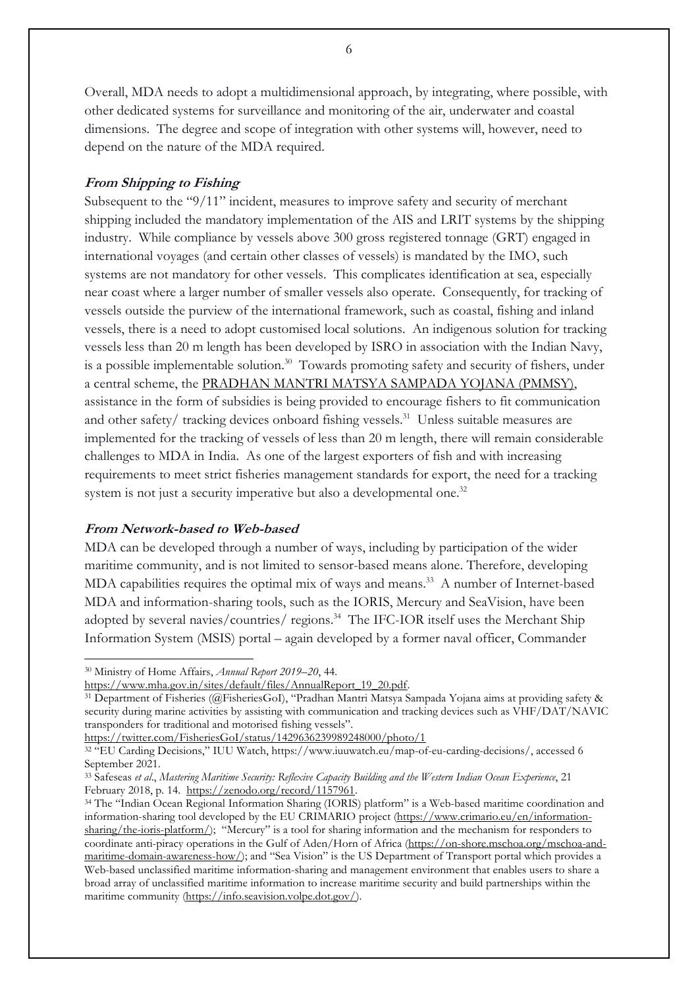Overall, MDA needs to adopt a multidimensional approach, by integrating, where possible, with other dedicated systems for surveillance and monitoring of the air, underwater and coastal dimensions. The degree and scope of integration with other systems will, however, need to depend on the nature of the MDA required.

## **From Shipping to Fishing**

Subsequent to the "9/11" incident, measures to improve safety and security of merchant shipping included the mandatory implementation of the AIS and LRIT systems by the shipping industry. While compliance by vessels above 300 gross registered tonnage (GRT) engaged in international voyages (and certain other classes of vessels) is mandated by the IMO, such systems are not mandatory for other vessels. This complicates identification at sea, especially near coast where a larger number of smaller vessels also operate. Consequently, for tracking of vessels outside the purview of the international framework, such as coastal, fishing and inland vessels, there is a need to adopt customised local solutions. An indigenous solution for tracking vessels less than 20 m length has been developed by ISRO in association with the Indian Navy, is a possible implementable solution. <sup>30</sup> Towards promoting safety and security of fishers, under a central scheme, the [PRADHAN](https://maritimeindia.org/coastal-security-in-india-twelve-years-after-26-11/) MANTRI MATSYA SAMPADA YOJANA (PMMSY), assistance in the form of subsidies is being provided to encourage fishers to fit communication and other safety/ tracking devices onboard fishing vessels. <sup>31</sup> Unless suitable measures are implemented for the tracking of vessels of less than 20 m length, there will remain considerable challenges to MDA in India. As one of the largest exporters of fish and with increasing requirements to meet strict fisheries management standards for export, the need for a tracking system is not just a security imperative but also a developmental one.<sup>32</sup>

#### **From Network-based to Web-based**

MDA can be developed through a number of ways, including by participation of the wider maritime community, and is not limited to sensor-based means alone. Therefore, developing MDA capabilities requires the optimal mix of ways and means. <sup>33</sup> A number of Internet-based MDA and information-sharing tools, such as the IORIS, Mercury and SeaVision, have been adopted by several navies/countries/ regions. <sup>34</sup> The IFC-IOR itself uses the Merchant Ship Information System (MSIS) portal – again developed by a former naval officer, Commander

<sup>30</sup> Ministry of Home Affairs, *Annual Report 2019–20*, 44.

[https://www.mha.gov.in/sites/default/files/AnnualReport\\_19\\_20.pdf.](https://www.mha.gov.in/sites/default/files/AnnualReport_19_20.pdf)

<sup>&</sup>lt;sup>31</sup> Department of Fisheries (@FisheriesGoI), "Pradhan Mantri Matsya Sampada Yojana aims at providing safety & security during marine activities by assisting with communication and tracking devices such as VHF/DAT/NAVIC transponders for traditional and motorised fishing vessels".

<https://twitter.com/FisheriesGoI/status/1429636239989248000/photo/1>

<sup>32</sup> "EU Carding Decisions," IUU Watch, [https://www.iuuwatch.eu/map-of-eu-carding-decisions/,](https://www.iuuwatch.eu/map-of-eu-carding-decisions/) accessed 6 September 2021.

<sup>33</sup> Safeseas *et al*., *Mastering Maritime Security: Reflexive Capacity Building and the Western Indian Ocean Experience*, 21 February 2018, p. 14. [https://zenodo.org/record/1157961.](https://zenodo.org/record/1157961)

<sup>&</sup>lt;sup>34</sup> The "Indian Ocean Regional Information Sharing (IORIS) platform" is a Web-based maritime coordination and information-sharing tool developed by the EU CRIMARIO project [\(https://www.crimario.eu/en/information](https://www.crimario.eu/en/information-sharing/the-ioris-platform/)[sharing/the-ioris-platform/\)](https://www.crimario.eu/en/information-sharing/the-ioris-platform/); "Mercury" is a tool for sharing information and the mechanism for responders to coordinate anti-piracy operations in the Gulf of Aden/Horn of Africa [\(https://on-shore.mschoa.org/mschoa-and](https://on-shore.mschoa.org/mschoa-and-maritime-domain-awareness-how/)[maritime-domain-awareness-how/\)](https://on-shore.mschoa.org/mschoa-and-maritime-domain-awareness-how/); and "Sea Vision" is the US Department of Transport portal which provides a Web-based unclassified maritime information-sharing and management environment that enables users to share a broad array of unclassified maritime information to increase maritime security and build partnerships within the maritime community [\(https://info.seavision.volpe.dot.gov/\)](https://info.seavision.volpe.dot.gov/).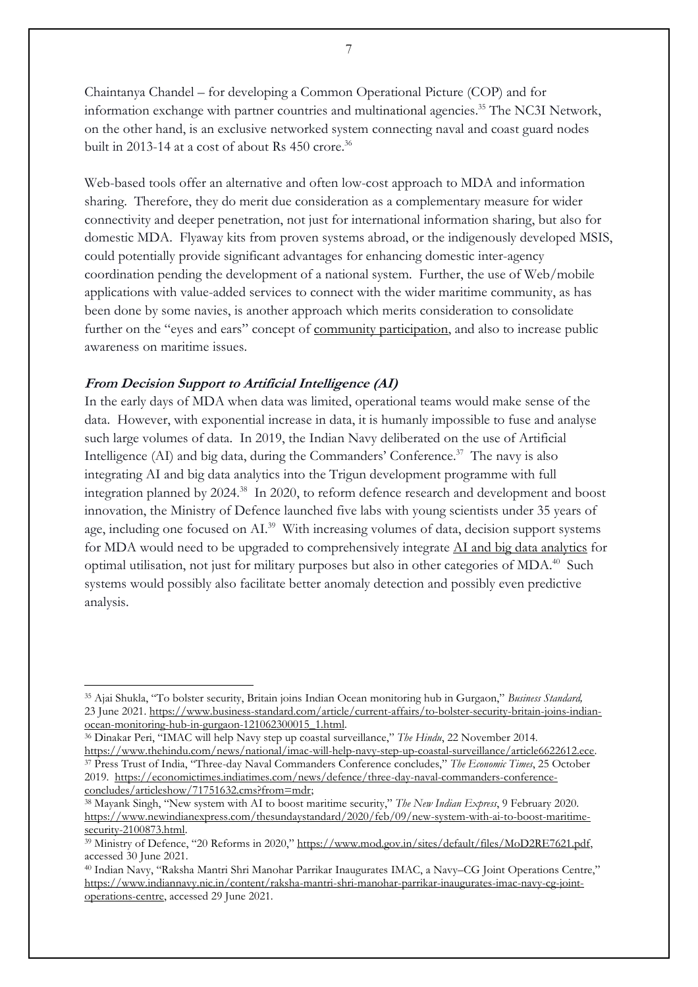Chaintanya Chandel – for developing a Common Operational Picture (COP) and for information exchange with partner countries and mult[inational](https://www.business-standard.com/category/current-affairs-news-national-1150106.htm) agencies.<sup>35</sup> The NC3I Network, on the other hand, is an exclusive networked system connecting naval and coast guard nodes built in 2013-14 at a cost of about Rs 450 crore. 36

Web-based tools offer an alternative and often low-cost approach to MDA and information sharing. Therefore, they do merit due consideration as a complementary measure for wider connectivity and deeper penetration, not just for international information sharing, but also for domestic MDA. Flyaway kits from proven systems abroad, or the indigenously developed MSIS, could potentially provide significant advantages for enhancing domestic inter-agency coordination pending the development of a national system. Further, the use of Web/mobile applications with value-added services to connect with the wider maritime community, as has been done by some navies, is another approach which merits consideration to consolidate further on the "eyes and ears" concept of community [participation,](https://maritimeindia.org/community-outreach-for-maritime-security-in-india-need-for-a-contemporary-approach/) and also to increase public awareness on maritime issues.

# **From Decision Support to Artificial Intelligence (AI)**

In the early days of MDA when data was limited, operational teams would make sense of the data. However, with exponential increase in data, it is humanly impossible to fuse and analyse such large volumes of data. In 2019, the Indian Navy deliberated on the use of Artificial Intelligence (AI) and big data, during the Commanders' Conference. 37 The navy is also integrating AI and big data analytics into the Trigun development programme with full integration planned by 2024. <sup>38</sup> In 2020, to reform defence research and development and boost innovation, the Ministry of Defence launched five labs with young scientists under 35 years of age, including one focused on AI.<sup>39</sup> With increasing volumes of data, decision support systems for MDA would need to be upgraded to comprehensively integrate AI and big data [analytics](https://maritimeindia.org/artificial-intelligence-and-machine-learning-for-the-indian-navy/) for optimal utilisation, not just for military purposes but also in other categories of MDA.<sup>40</sup> Such systems would possibly also facilitate better anomaly detection and possibly even predictive analysis.

<sup>35</sup> Ajai Shukla, "To bolster security, Britain joins Indian Ocean monitoring hub in Gurgaon," *Business Standard,*  23 June 2021. [https://www.business-standard.com/article/current-affairs/to-bolster-security-britain-joins-indian](https://www.business-standard.com/article/current-affairs/to-bolster-security-britain-joins-indian-ocean-monitoring-hub-in-gurgaon-121062300015_1.html)[ocean-monitoring-hub-in-gurgaon-121062300015\\_1.html.](https://www.business-standard.com/article/current-affairs/to-bolster-security-britain-joins-indian-ocean-monitoring-hub-in-gurgaon-121062300015_1.html)

<sup>36</sup> Dinakar Peri, "IMAC will help Navy step up coastal surveillance," *The Hindu*, 22 November 2014. [https://www.thehindu.com/news/national/imac-will-help-navy-step-up-coastal-surveillance/article6622612.ece.](https://www.thehindu.com/news/national/imac-will-help-navy-step-up-coastal-surveillance/article6622612.ece) <sup>37</sup> Press Trust of India, "Three-day Naval Commanders Conference concludes," *The Economic Times*, 25 October 2019. [https://economictimes.indiatimes.com/news/defence/three-day-naval-commanders-conference](https://economictimes.indiatimes.com/news/defence/three-day-naval-commanders-conference-concludes/articleshow/71751632.cms?from=mdr)[concludes/articleshow/71751632.cms?from=mdr;](https://economictimes.indiatimes.com/news/defence/three-day-naval-commanders-conference-concludes/articleshow/71751632.cms?from=mdr)

<sup>38</sup> Mayank Singh, "New system with AI to boost maritime security," *The New Indian Express*, 9 February 2020. [https://www.newindianexpress.com/thesundaystandard/2020/feb/09/new-system-with-ai-to-boost-maritime](https://www.newindianexpress.com/thesundaystandard/2020/feb/09/new-system-with-ai-to-boost-maritime-security-2100873.html)[security-2100873.html.](https://www.newindianexpress.com/thesundaystandard/2020/feb/09/new-system-with-ai-to-boost-maritime-security-2100873.html)

<sup>39</sup> Ministry of Defence, "20 Reforms in 2020," [https://www.mod.gov.in/sites/default/files/MoD2RE7621.pdf,](https://www.mod.gov.in/sites/default/files/MoD2RE7621.pdf) accessed 30 June 2021.

<sup>40</sup> Indian Navy, "Raksha Mantri Shri Manohar Parrikar Inaugurates IMAC, a Navy–CG Joint Operations Centre," [https://www.indiannavy.nic.in/content/raksha-mantri-shri-manohar-parrikar-inaugurates-imac-navy-cg-joint](https://www.indiannavy.nic.in/content/raksha-mantri-shri-manohar-parrikar-inaugurates-imac-navy-cg-joint-operations-centre)[operations-centre,](https://www.indiannavy.nic.in/content/raksha-mantri-shri-manohar-parrikar-inaugurates-imac-navy-cg-joint-operations-centre) accessed 29 June 2021.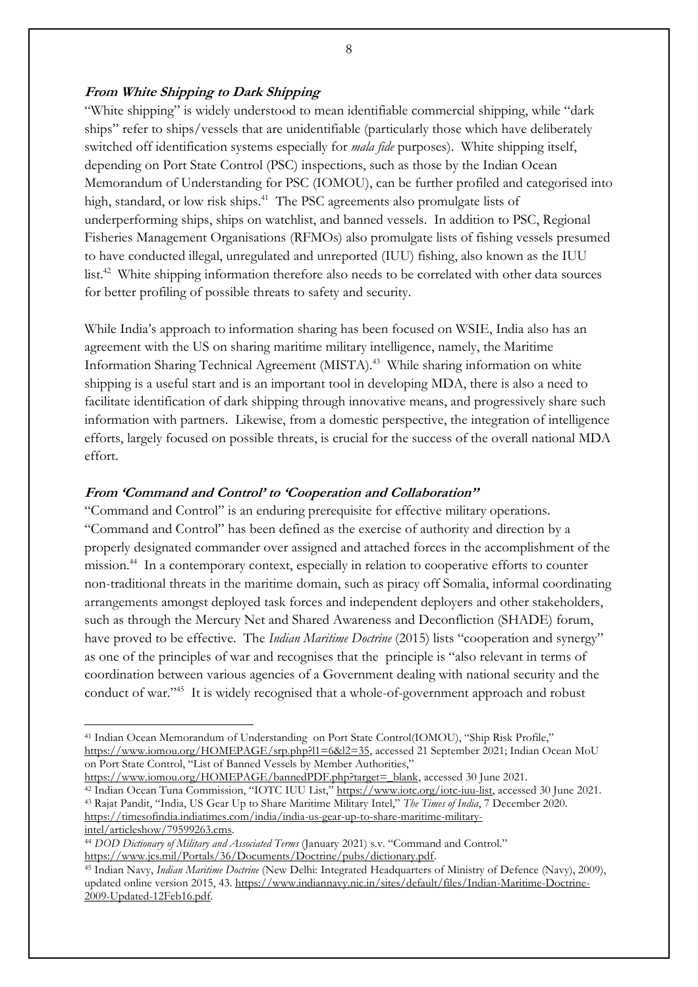## **From White Shipping to Dark Shipping**

"White shipping" is widely understood to mean identifiable commercial shipping, while "dark ships" refer to ships/vessels that are unidentifiable (particularly those which have deliberately switched off identification systems especially for *mala fide* purposes). White shipping itself, depending on Port State Control (PSC) inspections, such as those by the Indian Ocean Memorandum of Understanding for PSC (IOMOU), can be further profiled and categorised into high, standard, or low risk ships. <sup>41</sup> The PSC agreements also promulgate lists of underperforming ships, ships on watchlist, and banned vessels. In addition to PSC, Regional Fisheries Management Organisations (RFMOs) also promulgate lists of fishing vessels presumed to have conducted illegal, unregulated and unreported (IUU) fishing, also known as the IUU list.<sup>42</sup> White shipping information therefore also needs to be correlated with other data sources for better profiling of possible threats to safety and security.

While India's approach to information sharing has been focused on WSIE, India also has an agreement with the US on sharing maritime military intelligence, namely, the Maritime Information Sharing Technical Agreement (MISTA).<sup>43</sup> While sharing information on white shipping is a useful start and is an important tool in developing MDA, there is also a need to facilitate identification of dark shipping through innovative means, and progressively share such information with partners. Likewise, from a domestic perspective, the integration of intelligence efforts, largely focused on possible threats, is crucial for the success of the overall national MDA effort.

## **From 'Command and Control' to 'Cooperation and Collaboration''**

"Command and Control" is an enduring prerequisite for effective military operations. "Command and Control" has been defined as the exercise of authority and direction by a properly designated commander over assigned and attached forces in the accomplishment of the mission.<sup>44</sup> In a contemporary context, especially in relation to cooperative efforts to counter non-traditional threats in the maritime domain, such as piracy off Somalia, informal coordinating arrangements amongst deployed task forces and independent deployers and other stakeholders, such as through the Mercury Net and Shared Awareness and Deconfliction (SHADE) forum, have proved to be effective. The *Indian Maritime Doctrine* (2015) lists "cooperation and synergy" as one of the principles of war and recognises that the principle is "also relevant in terms of coordination between various agencies of a Government dealing with national security and the conduct of war."<sup>45</sup> It is widely recognised that a whole-of-government approach and robust

<sup>41</sup> Indian Ocean Memorandum of Understanding on Port State Control(IOMOU), "Ship Risk Profile," [https://www.iomou.org/HOMEPAGE/srp.php?l1=6&l2=35,](https://www.iomou.org/HOMEPAGE/srp.php?l1=6&l2=35) accessed 21 September 2021; Indian Ocean MoU on Port State Control, "List of Banned Vessels by Member Authorities,"

[https://www.iomou.org/HOMEPAGE/bannedPDF.php?target=\\_blank,](https://www.iomou.org/HOMEPAGE/bannedPDF.php?target=_blank) accessed 30 June 2021. <sup>42</sup> Indian Ocean Tuna Commission, "IOTC IUU List," [https://www.iotc.org/iotc-iuu-list,](https://www.iotc.org/iotc-iuu-list) accessed 30 June 2021. <sup>43</sup> Rajat Pandit, "India, US Gear Up to Share Maritime Military Intel," *The Times of India*, 7 December 2020. [https://timesofindia.indiatimes.com/india/india-us-gear-up-to-share-maritime-military](https://timesofindia.indiatimes.com/india/india-us-gear-up-to-share-maritime-military-intel/articleshow/79599263.cms)[intel/articleshow/79599263.cms.](https://timesofindia.indiatimes.com/india/india-us-gear-up-to-share-maritime-military-intel/articleshow/79599263.cms)

<sup>44</sup> *DOD Dictionary of Military and Associated Terms* (January 2021) s.v. "Command and Control." [https://www.jcs.mil/Portals/36/Documents/Doctrine/pubs/dictionary.pdf.](https://www.jcs.mil/Portals/36/Documents/Doctrine/pubs/dictionary.pdf)

<sup>45</sup> Indian Navy, *Indian Maritime Doctrine* (New Delhi: Integrated Headquarters of Ministry of Defence (Navy), 2009), updated online version 2015, 43. [https://www.indiannavy.nic.in/sites/default/files/Indian-Maritime-Doctrine-](https://www.indiannavy.nic.in/sites/default/files/Indian-Maritime-Doctrine-2009-Updated-12Feb16.pdf)[2009-Updated-12Feb16.pdf.](https://www.indiannavy.nic.in/sites/default/files/Indian-Maritime-Doctrine-2009-Updated-12Feb16.pdf)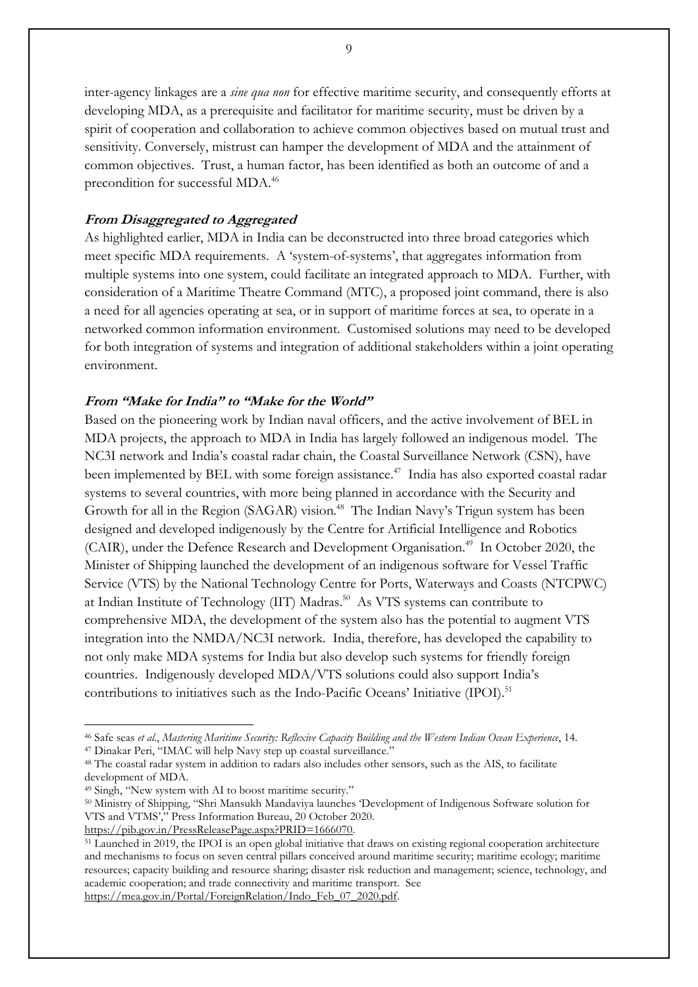inter-agency linkages are a *sine qua non* for effective maritime security, and consequently efforts at developing MDA, as a prerequisite and facilitator for maritime security, must be driven by a spirit of cooperation and collaboration to achieve common objectives based on mutual trust and sensitivity. Conversely, mistrust can hamper the development of MDA and the attainment of common objectives. Trust, a human factor, has been identified as both an outcome of and a precondition for successful MDA.<sup>46</sup>

#### **From Disaggregated to Aggregated**

As highlighted earlier, MDA in India can be deconstructed into three broad categories which meet specific MDA requirements. A 'system-of-systems', that aggregates information from multiple systems into one system, could facilitate an integrated approach to MDA. Further, with consideration of a Maritime Theatre Command (MTC), a proposed joint command, there is also a need for all agencies operating at sea, or in support of maritime forces at sea, to operate in a networked common information environment. Customised solutions may need to be developed for both integration of systems and integration of additional stakeholders within a joint operating environment.

#### **From "Make for India" to "Make for the World"**

Based on the pioneering work by Indian naval officers, and the active involvement of BEL in MDA projects, the approach to MDA in India has largely followed an indigenous model. The NC3I network and India's coastal radar chain, the Coastal Surveillance Network (CSN), have been implemented by BEL with some foreign assistance. <sup>47</sup> India has also exported coastal radar systems to several countries, with more being planned in accordance with the Security and Growth for all in the Region (SAGAR) vision.<sup>48</sup> The Indian Navy's Trigun system has been designed and developed indigenously by the Centre for Artificial Intelligence and Robotics (CAIR), under the Defence Research and Development Organisation.<sup>49</sup> In October 2020, the Minister of Shipping launched the development of an indigenous software for Vessel Traffic Service (VTS) by the National Technology Centre for Ports, Waterways and Coasts (NTCPWC) at Indian Institute of Technology (IIT) Madras. <sup>50</sup> As VTS systems can contribute to comprehensive MDA, the development of the system also has the potential to augment VTS integration into the NMDA/NC3I network. India, therefore, has developed the capability to not only make MDA systems for India but also develop such systems for friendly foreign countries. Indigenously developed MDA/VTS solutions could also support India's contributions to initiatives such as the Indo-Pacific Oceans' Initiative (IPOI).<sup>51</sup>

[https://pib.gov.in/PressReleasePage.aspx?PRID=1666070.](https://pib.gov.in/PressReleasePage.aspx?PRID=1666070)

<sup>46</sup> Safe seas *et al.*, *Mastering Maritime Security: Reflexive Capacity Building and the Western Indian Ocean Experience*, 14.

<sup>47</sup> Dinakar Peri, "IMAC will help Navy step up coastal surveillance."

<sup>48</sup> The coastal radar system in addition to radars also includes other sensors, such as the AIS, to facilitate development of MDA.

<sup>49</sup> Singh, "New system with AI to boost maritime security."

<sup>50</sup> Ministry of Shipping, "Shri Mansukh Mandaviya launches 'Development of Indigenous Software solution for VTS and VTMS'," Press Information Bureau, 20 October 2020.

<sup>51</sup> Launched in 2019, the IPOI is an open global initiative that draws on existing regional cooperation architecture and mechanisms to focus on seven central pillars conceived around maritime security; maritime ecology; maritime resources; capacity building and resource sharing; disaster risk reduction and management; science, technology, and academic cooperation; and trade connectivity and maritime transport. See [https://mea.gov.in/Portal/ForeignRelation/Indo\\_Feb\\_07\\_2020.pdf.](https://mea.gov.in/Portal/ForeignRelation/Indo_Feb_07_2020.pdf)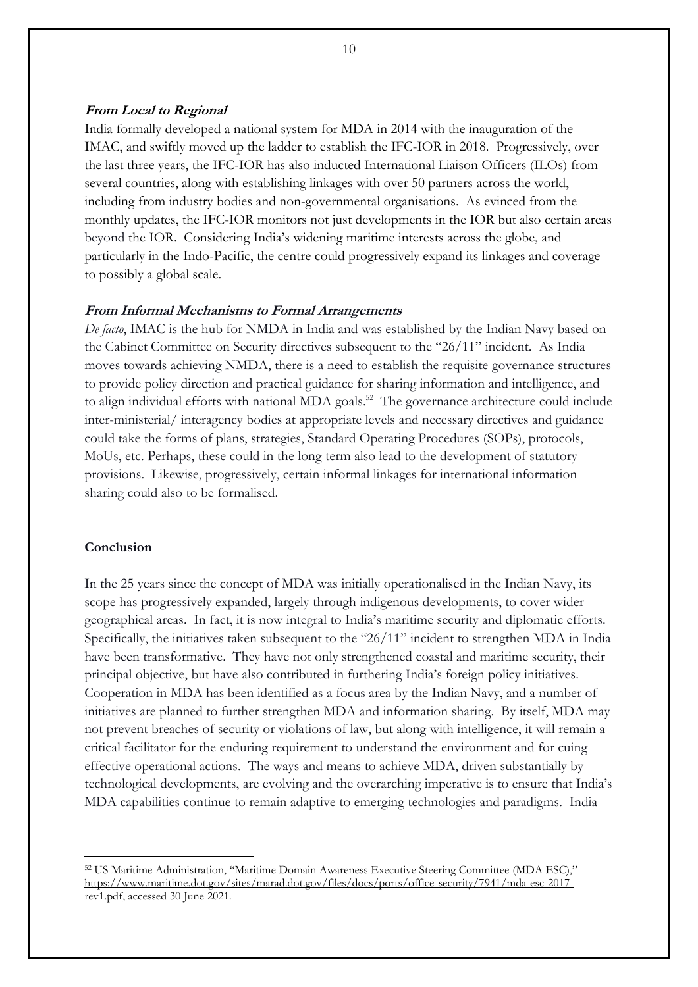#### **From Local to Regional**

India formally developed a national system for MDA in 2014 with the inauguration of the IMAC, and swiftly moved up the ladder to establish the IFC-IOR in 2018. Progressively, over the last three years, the IFC-IOR has also inducted International Liaison Officers (ILOs) from several countries, along with establishing linkages with over 50 partners across the world, including from industry bodies and non-governmental organisations. As evinced from the monthly updates, the IFC-IOR monitors not just developments in the IOR but also certain areas beyond the IOR. Considering India's widening maritime interests across the globe, and particularly in the Indo-Pacific, the centre could progressively expand its linkages and coverage to possibly a global scale.

#### **From Informal Mechanisms to Formal Arrangements**

*De facto*, IMAC is the hub for NMDA in India and was established by the Indian Navy based on the Cabinet Committee on Security directives subsequent to the "26/11" incident. As India moves towards achieving NMDA, there is a need to establish the requisite governance structures to provide policy direction and practical guidance for sharing information and intelligence, and to align individual efforts with national MDA goals.<sup>52</sup> The governance architecture could include inter-ministerial/ interagency bodies at appropriate levels and necessary directives and guidance could take the forms of plans, strategies, Standard Operating Procedures (SOPs), protocols, MoUs, etc. Perhaps, these could in the long term also lead to the development of statutory provisions. Likewise, progressively, certain informal linkages for international information sharing could also to be formalised.

## **Conclusion**

In the 25 years since the concept of MDA was initially operationalised in the Indian Navy, its scope has progressively expanded, largely through indigenous developments, to cover wider geographical areas. In fact, it is now integral to India's maritime security and diplomatic efforts. Specifically, the initiatives taken subsequent to the "26/11" incident to strengthen MDA in India have been transformative. They have not only strengthened coastal and maritime security, their principal objective, but have also contributed in furthering India's foreign policy initiatives. Cooperation in MDA has been identified as a focus area by the Indian Navy, and a number of initiatives are planned to further strengthen MDA and information sharing. By itself, MDA may not prevent breaches of security or violations of law, but along with intelligence, it will remain a critical facilitator for the enduring requirement to understand the environment and for cuing effective operational actions. The ways and means to achieve MDA, driven substantially by technological developments, are evolving and the overarching imperative is to ensure that India's MDA capabilities continue to remain adaptive to emerging technologies and paradigms. India

<sup>52</sup> US Maritime Administration, "Maritime Domain Awareness Executive Steering Committee (MDA ESC)," [https://www.maritime.dot.gov/sites/marad.dot.gov/files/docs/ports/office-security/7941/mda-esc-2017](https://www.maritime.dot.gov/sites/marad.dot.gov/files/docs/ports/office-security/7941/mda-esc-2017-rev1.pdf) [rev1.pdf,](https://www.maritime.dot.gov/sites/marad.dot.gov/files/docs/ports/office-security/7941/mda-esc-2017-rev1.pdf) accessed 30 June 2021.